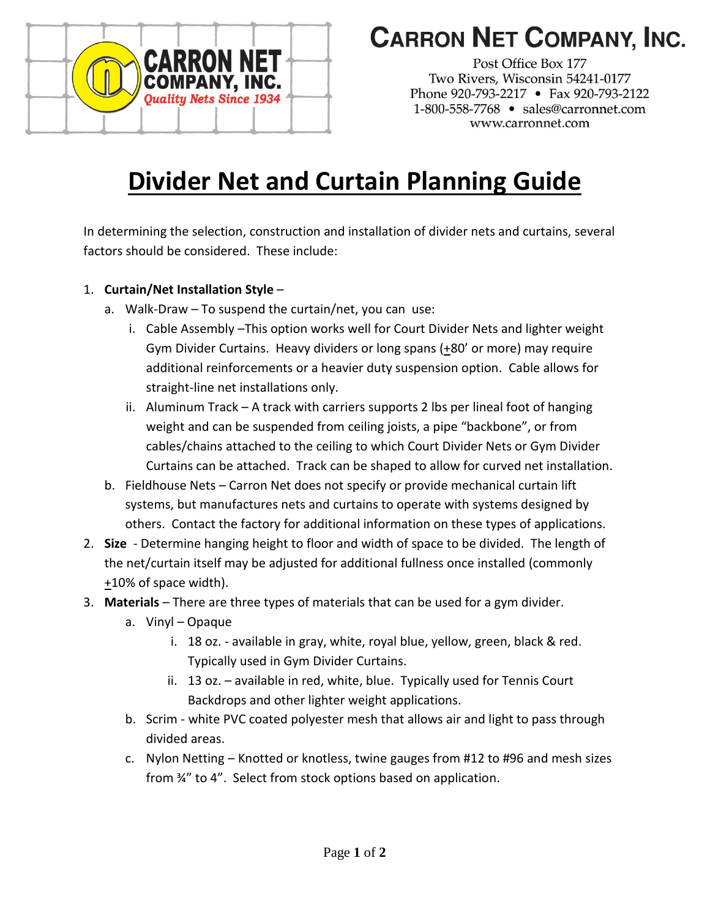

## **CARRON NET COMPANY, INC.**

Post Office Box 177 Two Rivers, Wisconsin 54241-0177 Phone 920-793-2217 • Fax 920-793-2122 1-800-558-7768 · sales@carronnet.com www.carronnet.com

## **Divider Net and Curtain Planning Guide**

In determining the selection, construction and installation of divider nets and curtains, several factors should be considered. These include:

- 1. **Curtain/Net Installation Style**
	- a. Walk-Draw To suspend the curtain/net, you can use:
		- i. Cable Assembly –This option works well for Court Divider Nets and lighter weight Gym Divider Curtains. Heavy dividers or long spans (+80' or more) may require additional reinforcements or a heavier duty suspension option. Cable allows for straight-line net installations only.
		- ii. Aluminum Track A track with carriers supports 2 lbs per lineal foot of hanging weight and can be suspended from ceiling joists, a pipe "backbone", or from cables/chains attached to the ceiling to which Court Divider Nets or Gym Divider Curtains can be attached. Track can be shaped to allow for curved net installation.
	- b. Fieldhouse Nets Carron Net does not specify or provide mechanical curtain lift systems, but manufactures nets and curtains to operate with systems designed by others. Contact the factory for additional information on these types of applications.
- 2. **Size** Determine hanging height to floor and width of space to be divided. The length of the net/curtain itself may be adjusted for additional fullness once installed (commonly +10% of space width).
- 3. **Materials**  There are three types of materials that can be used for a gym divider.
	- a. Vinyl Opaque
		- i. 18 oz. available in gray, white, royal blue, yellow, green, black & red. Typically used in Gym Divider Curtains.
		- ii. 13 oz. available in red, white, blue. Typically used for Tennis Court Backdrops and other lighter weight applications.
	- b. Scrim white PVC coated polyester mesh that allows air and light to pass through divided areas.
	- c. Nylon Netting Knotted or knotless, twine gauges from #12 to #96 and mesh sizes from ¾" to 4". Select from stock options based on application.